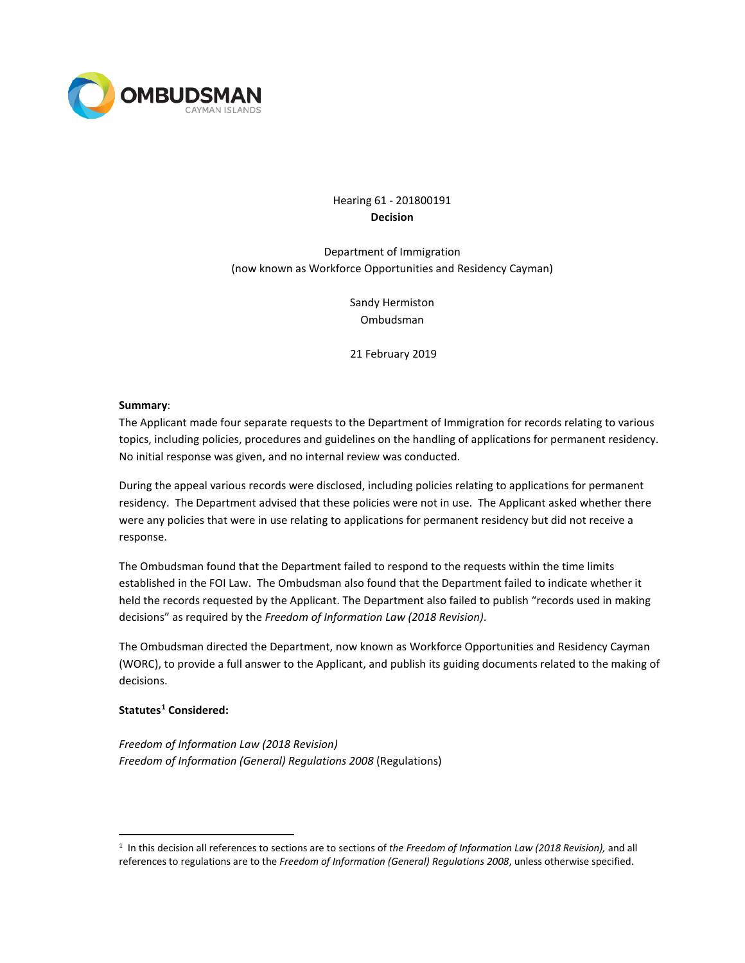

# Hearing 61 - 201800191 **Decision**

Department of Immigration (now known as Workforce Opportunities and Residency Cayman)

> Sandy Hermiston Ombudsman

21 February 2019

#### **Summary**:

The Applicant made four separate requests to the Department of Immigration for records relating to various topics, including policies, procedures and guidelines on the handling of applications for permanent residency. No initial response was given, and no internal review was conducted.

During the appeal various records were disclosed, including policies relating to applications for permanent residency. The Department advised that these policies were not in use. The Applicant asked whether there were any policies that were in use relating to applications for permanent residency but did not receive a response.

The Ombudsman found that the Department failed to respond to the requests within the time limits established in the FOI Law. The Ombudsman also found that the Department failed to indicate whether it held the records requested by the Applicant. The Department also failed to publish "records used in making decisions" as required by the *Freedom of Information Law (2018 Revision)*.

The Ombudsman directed the Department, now known as Workforce Opportunities and Residency Cayman (WORC), to provide a full answer to the Applicant, and publish its guiding documents related to the making of decisions.

### **Statutes[1](#page-0-0) Considered:**

*Freedom of Information Law (2018 Revision) Freedom of Information (General) Regulations 2008* (Regulations)

<span id="page-0-0"></span> <sup>1</sup> In this decision all references to sections are to sections of *the Freedom of Information Law (2018 Revision),* and all references to regulations are to the *Freedom of Information (General) Regulations 2008*, unless otherwise specified.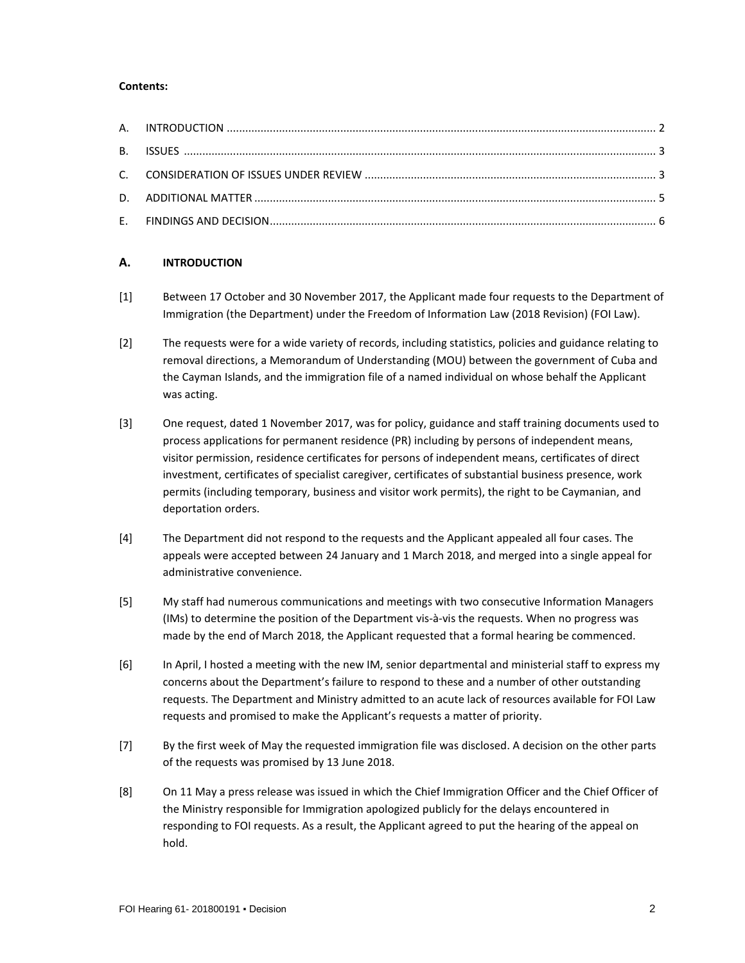### **Contents:**

# **A. INTRODUCTION**

- [1] Between 17 October and 30 November 2017, the Applicant made four requests to the Department of Immigration (the Department) under the Freedom of Information Law (2018 Revision) (FOI Law).
- [2] The requests were for a wide variety of records, including statistics, policies and guidance relating to removal directions, a Memorandum of Understanding (MOU) between the government of Cuba and the Cayman Islands, and the immigration file of a named individual on whose behalf the Applicant was acting.
- [3] One request, dated 1 November 2017, was for policy, guidance and staff training documents used to process applications for permanent residence (PR) including by persons of independent means, visitor permission, residence certificates for persons of independent means, certificates of direct investment, certificates of specialist caregiver, certificates of substantial business presence, work permits (including temporary, business and visitor work permits), the right to be Caymanian, and deportation orders.
- [4] The Department did not respond to the requests and the Applicant appealed all four cases. The appeals were accepted between 24 January and 1 March 2018, and merged into a single appeal for administrative convenience.
- [5] My staff had numerous communications and meetings with two consecutive Information Managers (IMs) to determine the position of the Department vis-à-vis the requests. When no progress was made by the end of March 2018, the Applicant requested that a formal hearing be commenced.
- [6] In April, I hosted a meeting with the new IM, senior departmental and ministerial staff to express my concerns about the Department's failure to respond to these and a number of other outstanding requests. The Department and Ministry admitted to an acute lack of resources available for FOI Law requests and promised to make the Applicant's requests a matter of priority.
- [7] By the first week of May the requested immigration file was disclosed. A decision on the other parts of the requests was promised by 13 June 2018.
- [8] On 11 May a press release was issued in which the Chief Immigration Officer and the Chief Officer of the Ministry responsible for Immigration apologized publicly for the delays encountered in responding to FOI requests. As a result, the Applicant agreed to put the hearing of the appeal on hold.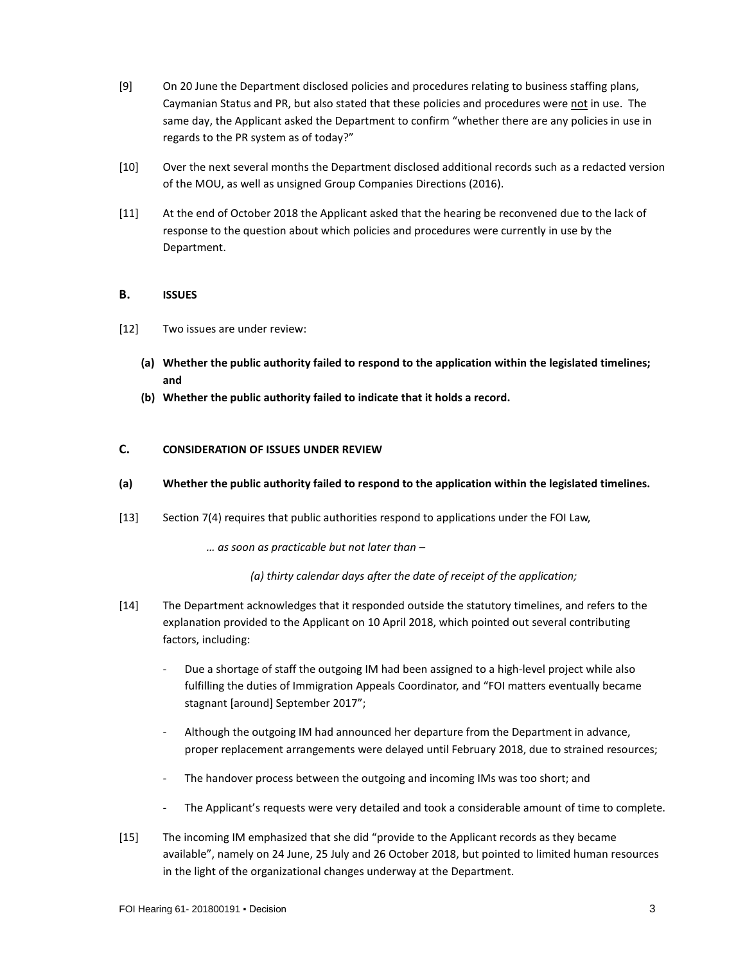- [9] On 20 June the Department disclosed policies and procedures relating to business staffing plans, Caymanian Status and PR, but also stated that these policies and procedures were not in use. The same day, the Applicant asked the Department to confirm "whether there are any policies in use in regards to the PR system as of today?"
- [10] Over the next several months the Department disclosed additional records such as a redacted version of the MOU, as well as unsigned Group Companies Directions (2016).
- [11] At the end of October 2018 the Applicant asked that the hearing be reconvened due to the lack of response to the question about which policies and procedures were currently in use by the Department.

# **B. ISSUES**

- [12] Two issues are under review:
	- **(a) Whether the public authority failed to respond to the application within the legislated timelines; and**
	- **(b) Whether the public authority failed to indicate that it holds a record.**

# **C. CONSIDERATION OF ISSUES UNDER REVIEW**

#### **(a) Whether the public authority failed to respond to the application within the legislated timelines.**

[13] Section 7(4) requires that public authorities respond to applications under the FOI Law,

*… as soon as practicable but not later than –*

*(a) thirty calendar days after the date of receipt of the application;*

- [14] The Department acknowledges that it responded outside the statutory timelines, and refers to the explanation provided to the Applicant on 10 April 2018, which pointed out several contributing factors, including:
	- Due a shortage of staff the outgoing IM had been assigned to a high-level project while also fulfilling the duties of Immigration Appeals Coordinator, and "FOI matters eventually became stagnant [around] September 2017";
	- Although the outgoing IM had announced her departure from the Department in advance, proper replacement arrangements were delayed until February 2018, due to strained resources;
	- The handover process between the outgoing and incoming IMs was too short; and
	- The Applicant's requests were very detailed and took a considerable amount of time to complete.
- [15] The incoming IM emphasized that she did "provide to the Applicant records as they became available", namely on 24 June, 25 July and 26 October 2018, but pointed to limited human resources in the light of the organizational changes underway at the Department.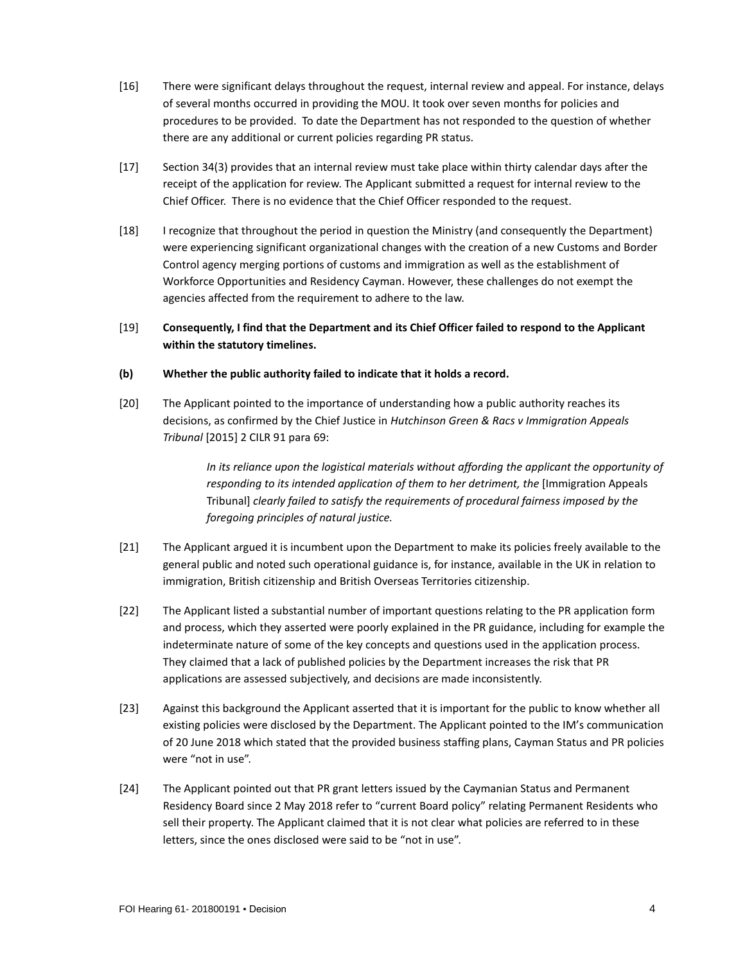- [16] There were significant delays throughout the request, internal review and appeal. For instance, delays of several months occurred in providing the MOU. It took over seven months for policies and procedures to be provided. To date the Department has not responded to the question of whether there are any additional or current policies regarding PR status.
- [17] Section 34(3) provides that an internal review must take place within thirty calendar days after the receipt of the application for review. The Applicant submitted a request for internal review to the Chief Officer. There is no evidence that the Chief Officer responded to the request.
- [18] I recognize that throughout the period in question the Ministry (and consequently the Department) were experiencing significant organizational changes with the creation of a new Customs and Border Control agency merging portions of customs and immigration as well as the establishment of Workforce Opportunities and Residency Cayman. However, these challenges do not exempt the agencies affected from the requirement to adhere to the law.
- [19] **Consequently, I find that the Department and its Chief Officer failed to respond to the Applicant within the statutory timelines.**

## **(b) Whether the public authority failed to indicate that it holds a record.**

[20] The Applicant pointed to the importance of understanding how a public authority reaches its decisions, as confirmed by the Chief Justice in *Hutchinson Green & Racs v Immigration Appeals Tribunal* [2015] 2 CILR 91 para 69:

> *In its reliance upon the logistical materials without affording the applicant the opportunity of responding to its intended application of them to her detriment, the [Immigration Appeals* Tribunal] *clearly failed to satisfy the requirements of procedural fairness imposed by the foregoing principles of natural justice.*

- [21] The Applicant argued it is incumbent upon the Department to make its policies freely available to the general public and noted such operational guidance is, for instance, available in the UK in relation to immigration, British citizenship and British Overseas Territories citizenship.
- [22] The Applicant listed a substantial number of important questions relating to the PR application form and process, which they asserted were poorly explained in the PR guidance, including for example the indeterminate nature of some of the key concepts and questions used in the application process. They claimed that a lack of published policies by the Department increases the risk that PR applications are assessed subjectively, and decisions are made inconsistently.
- [23] Against this background the Applicant asserted that it is important for the public to know whether all existing policies were disclosed by the Department. The Applicant pointed to the IM's communication of 20 June 2018 which stated that the provided business staffing plans, Cayman Status and PR policies were "not in use".
- [24] The Applicant pointed out that PR grant letters issued by the Caymanian Status and Permanent Residency Board since 2 May 2018 refer to "current Board policy" relating Permanent Residents who sell their property. The Applicant claimed that it is not clear what policies are referred to in these letters, since the ones disclosed were said to be "not in use".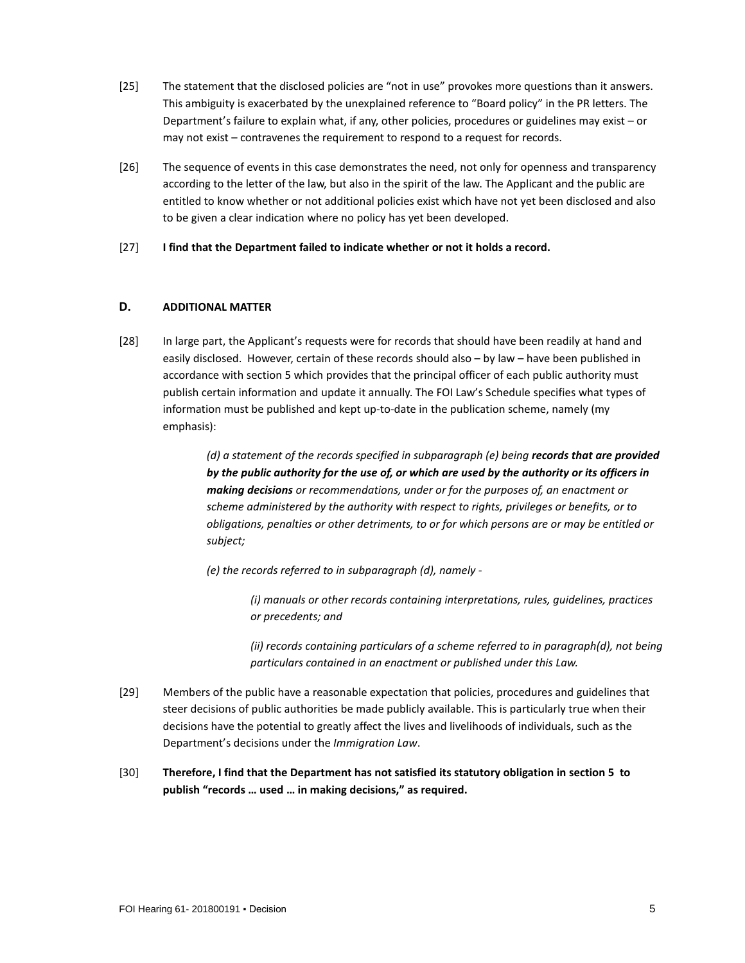- [25] The statement that the disclosed policies are "not in use" provokes more questions than it answers. This ambiguity is exacerbated by the unexplained reference to "Board policy" in the PR letters. The Department's failure to explain what, if any, other policies, procedures or guidelines may exist – or may not exist – contravenes the requirement to respond to a request for records.
- [26] The sequence of events in this case demonstrates the need, not only for openness and transparency according to the letter of the law, but also in the spirit of the law. The Applicant and the public are entitled to know whether or not additional policies exist which have not yet been disclosed and also to be given a clear indication where no policy has yet been developed.
- [27] **I find that the Department failed to indicate whether or not it holds a record.**

## **D. ADDITIONAL MATTER**

[28] In large part, the Applicant's requests were for records that should have been readily at hand and easily disclosed. However, certain of these records should also – by law – have been published in accordance with section 5 which provides that the principal officer of each public authority must publish certain information and update it annually. The FOI Law's Schedule specifies what types of information must be published and kept up-to-date in the publication scheme, namely (my emphasis):

> *(d) a statement of the records specified in subparagraph (e) being records that are provided by the public authority for the use of, or which are used by the authority or its officers in making decisions or recommendations, under or for the purposes of, an enactment or scheme administered by the authority with respect to rights, privileges or benefits, or to obligations, penalties or other detriments, to or for which persons are or may be entitled or subject;*

*(e) the records referred to in subparagraph (d), namely -*

*(i) manuals or other records containing interpretations, rules, guidelines, practices or precedents; and*

*(ii) records containing particulars of a scheme referred to in paragraph(d), not being particulars contained in an enactment or published under this Law.*

- [29] Members of the public have a reasonable expectation that policies, procedures and guidelines that steer decisions of public authorities be made publicly available. This is particularly true when their decisions have the potential to greatly affect the lives and livelihoods of individuals, such as the Department's decisions under the *Immigration Law*.
- [30] **Therefore, I find that the Department has not satisfied its statutory obligation in section 5 to publish "records … used … in making decisions," as required.**